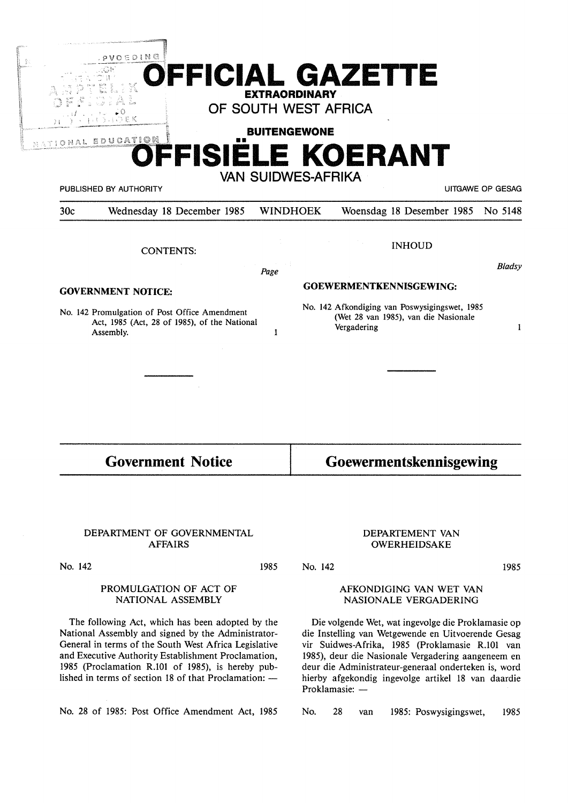| OFFICIAL GAZETTE<br>K<br><b>EXTRAORDINARY</b><br>OF SOUTH WEST AFRICA<br><b>BUITENGEWONE</b><br>$\blacksquare$<br>FFISIELE KOERANT |                                                                                                      |                           |                            |                                                                                                            | , P V O E D I N G<br>うけつをく<br>NATIONAL EDUCATION |  |  |
|------------------------------------------------------------------------------------------------------------------------------------|------------------------------------------------------------------------------------------------------|---------------------------|----------------------------|------------------------------------------------------------------------------------------------------------|--------------------------------------------------|--|--|
| <b>UITGAWE OP GESAG</b>                                                                                                            |                                                                                                      | <b>VAN SUIDWES-AFRIKA</b> |                            | PUBLISHED BY AUTHORITY                                                                                     |                                                  |  |  |
| No 5148                                                                                                                            | Woensdag 18 Desember 1985                                                                            | <b>WINDHOEK</b>           | Wednesday 18 December 1985 |                                                                                                            | 30c                                              |  |  |
|                                                                                                                                    | <b>INHOUD</b>                                                                                        |                           |                            | <b>CONTENTS:</b>                                                                                           |                                                  |  |  |
| <b>Bladsy</b>                                                                                                                      |                                                                                                      | 医心脏                       | Page                       |                                                                                                            |                                                  |  |  |
|                                                                                                                                    | GOEWERMENTKENNISGEWING:                                                                              |                           |                            | <b>GOVERNMENT NOTICE:</b>                                                                                  |                                                  |  |  |
| 1                                                                                                                                  | No. 142 Afkondiging van Poswysigingswet, 1985<br>(Wet 28 van 1985), van die Nasionale<br>Vergadering | 1                         |                            | No. 142 Promulgation of Post Office Amendment<br>Act, 1985 (Act, 28 of 1985), of the National<br>Assembly. |                                                  |  |  |
|                                                                                                                                    |                                                                                                      |                           |                            |                                                                                                            |                                                  |  |  |
|                                                                                                                                    | Goewermentskennisgewing                                                                              |                           |                            | <b>Government Notice</b>                                                                                   |                                                  |  |  |

1985

No. 142

### DEPARTMENT OF GOVERNMENTAL AFFAIRS

No. 142

### PROMULGATION OF ACT OF NATIONAL ASSEMBLY

The following Act, which has been adopted by the National Assembly and signed by the Administrator-General in terms of the South West Africa Legislative and Executive Authority Establishment Proclamation, 1985 (Proclamation R.101 of 1985), is hereby published in terms of section 18 of that Proclamation:  $-$ 

No. 28 of 1985: Post Office Amendment Act, 1985

### DEPARTEMENT VAN OWERHEIDSAKE

1985

### AFKONDIGING VAN WET VAN NASIONALE VERGADERING

Die volgende Wet, wat ingevolge die Proklamasie op die Instelling van Wetgewende en Uitvoerende Gesag vir Suidwes-Afrika, 1985 (Proklamasie R.101 van 1985), deur die Nasionale Vergadering aangeneem en deur die Administrateur-generaal onderteken is, word hierby afgekondig ingevolge artikel 18 van daardie Proklamasie: -

No. 28 van 1985: Poswysigingswet, 1985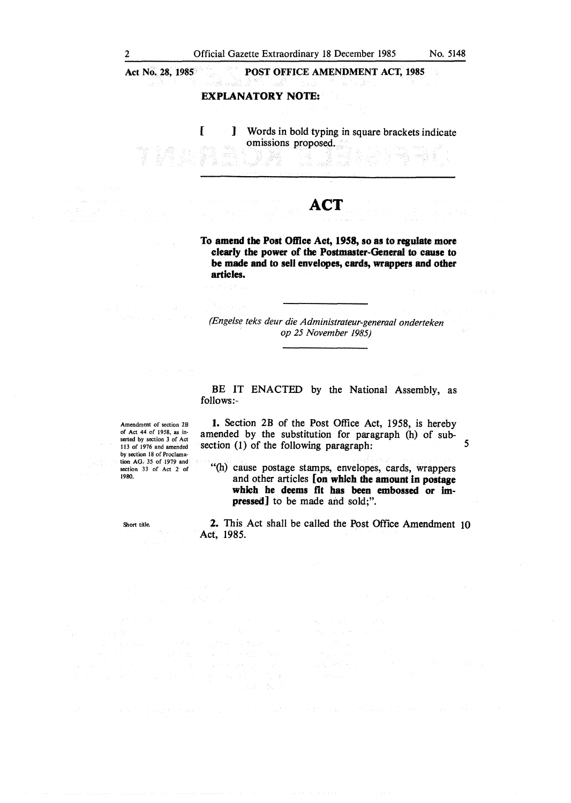**Act No. 28, 1985** 

**POST OFFICE AMENDMENT ACT, 1985** 

### **EXPLANATORY NOTE:**

[ ] Words in bold typing in square brackets indicate omissions proposed.

# **ACT**

و.<br>المريخ ಾಡ

**To amend the Post Office Act, 1958, so as to regulate more clearly the power of the Postmaster-General to cause to be made and to sell envelopes, cards, wrappers and other articles.** 

*(Engelse teks deur die Administrateur-generaal onderteken op 25 November 1985)* 

### BE IT ENACTED by the National Assembly, as follows:-

Amendment of section 2B of Act 44 of 1958, as inserted by section 3 of Act 113 of 1976 and amended by section 18 of Proclamation AG. 35 of 1979 and section 33 of Act 2 of 1980.

**1.** Section 2B of the Post Office Act, 1958, is hereby amended by the substitution for paragraph (h) of subsection (1) of the following paragraph:  $5$ 

"(h) cause postage stamps, envelopes, cards, wrappers and other articles **[on which the amount in postage which he deems flt has been embossed or impressed]** to be made and sold;".

Short title.

**2.** This Act shall be called the Post Office Amendment IO Act, 1985.

 $\alpha$  .